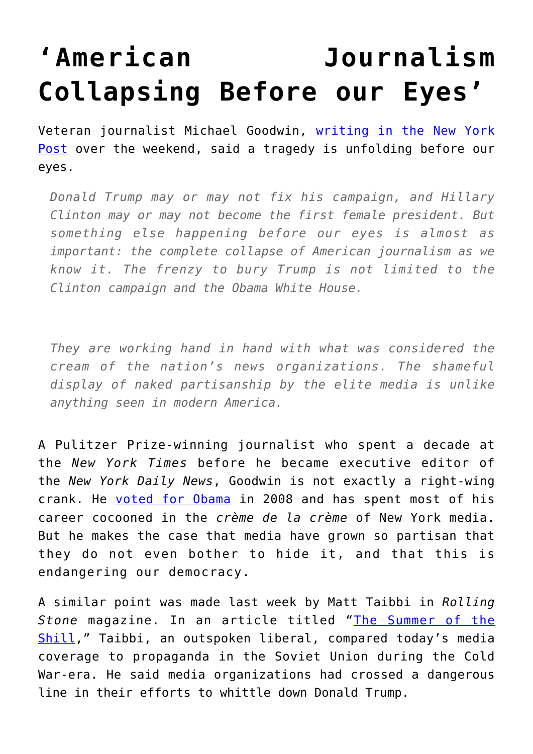## **['American Journalism](https://intellectualtakeout.org/2016/08/american-journalism-collapsing-before-our-eyes/) [Collapsing Before our Eyes'](https://intellectualtakeout.org/2016/08/american-journalism-collapsing-before-our-eyes/)**

Veteran journalist Michael Goodwin, [writing in the New York](http://nypost.com/2016/08/21/american-journalism-is-collapsing-before-our-eyes/) [Post](http://nypost.com/2016/08/21/american-journalism-is-collapsing-before-our-eyes/) over the weekend, said a tragedy is unfolding before our eyes.

*Donald Trump may or may not fix his campaign, and Hillary Clinton may or may not become the first female president. But something else happening before our eyes is almost as important: the complete collapse of American journalism as we know it. The frenzy to bury Trump is not limited to the Clinton campaign and the Obama White House.*

*They are working hand in hand with what was considered the cream of the nation's news organizations. The shameful display of naked partisanship by the elite media is unlike anything seen in modern America.*

A Pulitzer Prize-winning journalist who spent a decade at the *New York Times* before he became executive editor of the *New York Daily News*, Goodwin is not exactly a right-wing crank. He [voted for Obama](http://nypost.com/2012/10/28/why-im-voting-for-romney/) in 2008 and has spent most of his career cocooned in the *crème de la crème* of New York media. But he makes the case that media have grown so partisan that they do not even bother to hide it, and that this is endangering our democracy.

A similar point was made last week by Matt Taibbi in *Rolling Stone* magazine. In an article titled "[The Summer of the](http://www.rollingstone.com/politics/matt-taibbi-on-the-summer-of-the-media-shill-w434484) [Shill](http://www.rollingstone.com/politics/matt-taibbi-on-the-summer-of-the-media-shill-w434484)," Taibbi, an outspoken liberal, compared today's media coverage to propaganda in the Soviet Union during the Cold War-era. He said media organizations had crossed a dangerous line in their efforts to whittle down Donald Trump.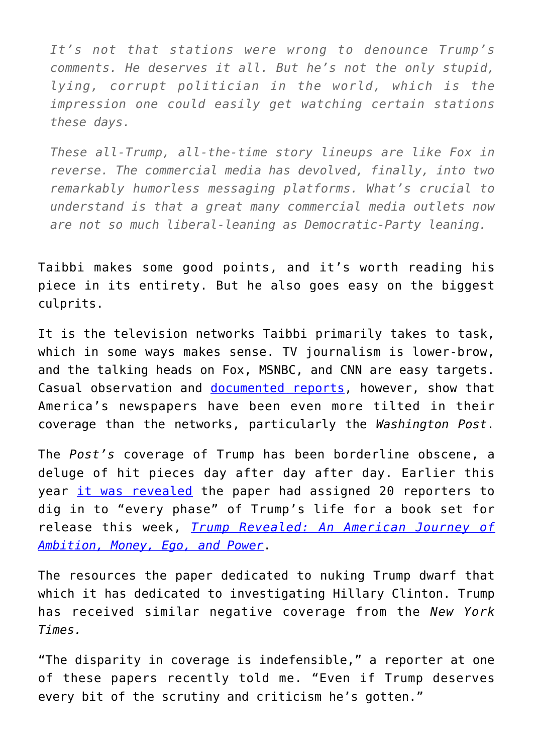*It's not that stations were wrong to denounce Trump's comments. He deserves it all. But he's not the only stupid, lying, corrupt politician in the world, which is the impression one could easily get watching certain stations these days.*

*These all-Trump, all-the-time story lineups are like Fox in reverse. The commercial media has devolved, finally, into two remarkably humorless messaging platforms. What's crucial to understand is that a great many commercial media outlets now are not so much liberal-leaning as Democratic-Party leaning.*

Taibbi makes some good points, and it's worth reading his piece in its entirety. But he also goes easy on the biggest culprits.

It is the television networks Taibbi primarily takes to task, which in some ways makes sense. TV journalism is lower-brow, and the talking heads on Fox, MSNBC, and CNN are easy targets. Casual observation and [documented reports](http://www.foxnews.com/politics/2016/08/12/newspapers-worse-than-tv-on-trumpclinton-coverage-report-finds.html), however, show that America's newspapers have been even more tilted in their coverage than the networks, particularly the *Washington Post*.

The *Post's* coverage of Trump has been borderline obscene, a deluge of hit pieces day after day after day. Earlier this year [it was revealed](http://www.washingtonexaminer.com/woodward-20-wapo-reporters-dig-dirt-on-trump-every-phase-of-his-life/article/2591021) the paper had assigned 20 reporters to dig in to "every phase" of Trump's life for a book set for release this week, *[Trump Revealed: An American Journey of](https://www.amazon.com/gp/product/1501155776/ref=as_li_qf_sp_asin_il_tl?ie=UTF8&tag=intelltakeo0d-20&camp=1789&creative=9325&linkCode=as2&creativeASIN=1501155776&linkId=0a52ce5fbbac2c6c63458be5a3ab8fd7) [Ambition, Money, Ego, and Power](https://www.amazon.com/gp/product/1501155776/ref=as_li_qf_sp_asin_il_tl?ie=UTF8&tag=intelltakeo0d-20&camp=1789&creative=9325&linkCode=as2&creativeASIN=1501155776&linkId=0a52ce5fbbac2c6c63458be5a3ab8fd7)*.

The resources the paper dedicated to nuking Trump dwarf that which it has dedicated to investigating Hillary Clinton. Trump has received similar negative coverage from the *New York Times.*

"The disparity in coverage is indefensible," a reporter at one of these papers recently told me. "Even if Trump deserves every bit of the scrutiny and criticism he's gotten."